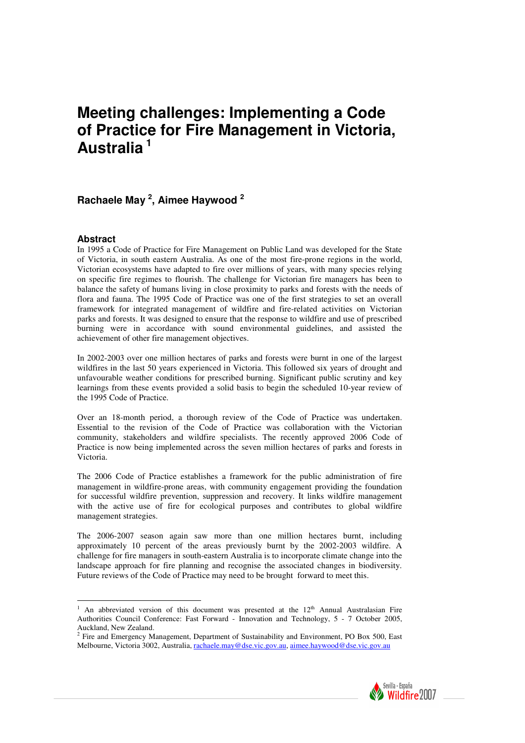# **Meeting challenges: Implementing a Code of Practice for Fire Management in Victoria, Australia<sup>1</sup>**

## **Rachaele May <sup>2</sup> , Aimee Haywood <sup>2</sup>**

#### **Abstract**

In 1995 a Code of Practice for Fire Management on Public Land was developed for the State of Victoria, in south eastern Australia. As one of the most fire-prone regions in the world, Victorian ecosystems have adapted to fire over millions of years, with many species relying on specific fire regimes to flourish. The challenge for Victorian fire managers has been to balance the safety of humans living in close proximity to parks and forests with the needs of flora and fauna. The 1995 Code of Practice was one of the first strategies to set an overall framework for integrated management of wildfire and fire-related activities on Victorian parks and forests. It was designed to ensure that the response to wildfire and use of prescribed burning were in accordance with sound environmental guidelines, and assisted the achievement of other fire management objectives.

In 2002-2003 over one million hectares of parks and forests were burnt in one of the largest wildfires in the last 50 years experienced in Victoria. This followed six years of drought and unfavourable weather conditions for prescribed burning. Significant public scrutiny and key learnings from these events provided a solid basis to begin the scheduled 10-year review of the 1995 Code of Practice.

Over an 18-month period, a thorough review of the Code of Practice was undertaken. Essential to the revision of the Code of Practice was collaboration with the Victorian community, stakeholders and wildfire specialists. The recently approved 2006 Code of Practice is now being implemented across the seven million hectares of parks and forests in Victoria.

The 2006 Code of Practice establishes a framework for the public administration of fire management in wildfire-prone areas, with community engagement providing the foundation for successful wildfire prevention, suppression and recovery. It links wildfire management with the active use of fire for ecological purposes and contributes to global wildfire management strategies.

The 2006-2007 season again saw more than one million hectares burnt, including approximately 10 percent of the areas previously burnt by the 2002-2003 wildfire. A challenge for fire managers in south-eastern Australia is to incorporate climate change into the landscape approach for fire planning and recognise the associated changes in biodiversity. Future reviews of the Code of Practice may need to be brought forward to meet this.

Melbourne, Victoria 3002, Australia, rachaele.may@dse.vic.gov.au, aimee.haywood@dse.vic.gov.au



l <sup>1</sup> An abbreviated version of this document was presented at the  $12<sup>th</sup>$  Annual Australasian Fire Authorities Council Conference: Fast Forward - Innovation and Technology, 5 - 7 October 2005, Auckland, New Zealand. 2 Fire and Emergency Management, Department of Sustainability and Environment, PO Box 500, East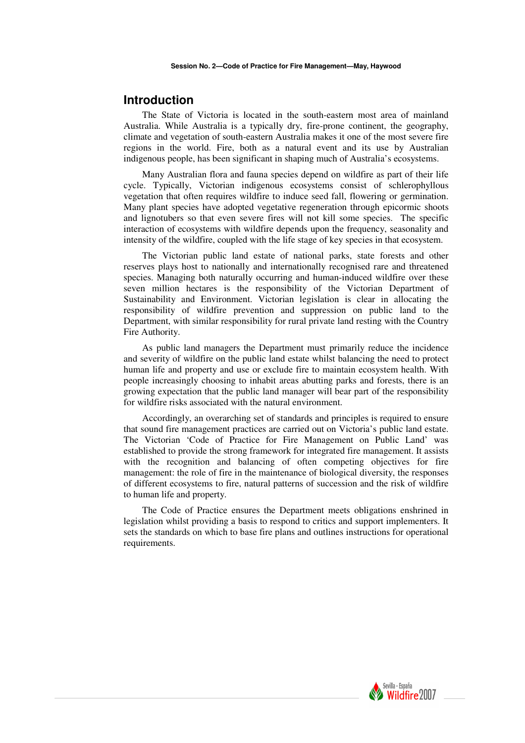### **Introduction**

The State of Victoria is located in the south-eastern most area of mainland Australia. While Australia is a typically dry, fire-prone continent, the geography, climate and vegetation of south-eastern Australia makes it one of the most severe fire regions in the world. Fire, both as a natural event and its use by Australian indigenous people, has been significant in shaping much of Australia's ecosystems.

Many Australian flora and fauna species depend on wildfire as part of their life cycle. Typically, Victorian indigenous ecosystems consist of schlerophyllous vegetation that often requires wildfire to induce seed fall, flowering or germination. Many plant species have adopted vegetative regeneration through epicormic shoots and lignotubers so that even severe fires will not kill some species. The specific interaction of ecosystems with wildfire depends upon the frequency, seasonality and intensity of the wildfire, coupled with the life stage of key species in that ecosystem.

The Victorian public land estate of national parks, state forests and other reserves plays host to nationally and internationally recognised rare and threatened species. Managing both naturally occurring and human-induced wildfire over these seven million hectares is the responsibility of the Victorian Department of Sustainability and Environment. Victorian legislation is clear in allocating the responsibility of wildfire prevention and suppression on public land to the Department, with similar responsibility for rural private land resting with the Country Fire Authority.

As public land managers the Department must primarily reduce the incidence and severity of wildfire on the public land estate whilst balancing the need to protect human life and property and use or exclude fire to maintain ecosystem health. With people increasingly choosing to inhabit areas abutting parks and forests, there is an growing expectation that the public land manager will bear part of the responsibility for wildfire risks associated with the natural environment.

Accordingly, an overarching set of standards and principles is required to ensure that sound fire management practices are carried out on Victoria's public land estate. The Victorian 'Code of Practice for Fire Management on Public Land' was established to provide the strong framework for integrated fire management. It assists with the recognition and balancing of often competing objectives for fire management: the role of fire in the maintenance of biological diversity, the responses of different ecosystems to fire, natural patterns of succession and the risk of wildfire to human life and property.

The Code of Practice ensures the Department meets obligations enshrined in legislation whilst providing a basis to respond to critics and support implementers. It sets the standards on which to base fire plans and outlines instructions for operational requirements.

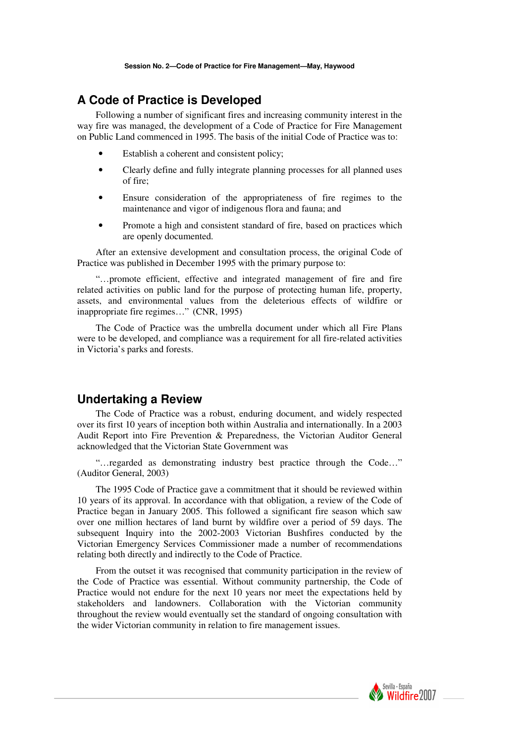## **A Code of Practice is Developed**

Following a number of significant fires and increasing community interest in the way fire was managed, the development of a Code of Practice for Fire Management on Public Land commenced in 1995. The basis of the initial Code of Practice was to:

- Establish a coherent and consistent policy;
- Clearly define and fully integrate planning processes for all planned uses of fire;
- Ensure consideration of the appropriateness of fire regimes to the maintenance and vigor of indigenous flora and fauna; and
- Promote a high and consistent standard of fire, based on practices which are openly documented.

After an extensive development and consultation process, the original Code of Practice was published in December 1995 with the primary purpose to:

"…promote efficient, effective and integrated management of fire and fire related activities on public land for the purpose of protecting human life, property, assets, and environmental values from the deleterious effects of wildfire or inappropriate fire regimes…" (CNR, 1995)

The Code of Practice was the umbrella document under which all Fire Plans were to be developed, and compliance was a requirement for all fire-related activities in Victoria's parks and forests.

### **Undertaking a Review**

The Code of Practice was a robust, enduring document, and widely respected over its first 10 years of inception both within Australia and internationally. In a 2003 Audit Report into Fire Prevention & Preparedness, the Victorian Auditor General acknowledged that the Victorian State Government was

"…regarded as demonstrating industry best practice through the Code…" (Auditor General, 2003)

The 1995 Code of Practice gave a commitment that it should be reviewed within 10 years of its approval. In accordance with that obligation, a review of the Code of Practice began in January 2005. This followed a significant fire season which saw over one million hectares of land burnt by wildfire over a period of 59 days. The subsequent Inquiry into the 2002-2003 Victorian Bushfires conducted by the Victorian Emergency Services Commissioner made a number of recommendations relating both directly and indirectly to the Code of Practice.

From the outset it was recognised that community participation in the review of the Code of Practice was essential. Without community partnership, the Code of Practice would not endure for the next 10 years nor meet the expectations held by stakeholders and landowners. Collaboration with the Victorian community throughout the review would eventually set the standard of ongoing consultation with the wider Victorian community in relation to fire management issues.

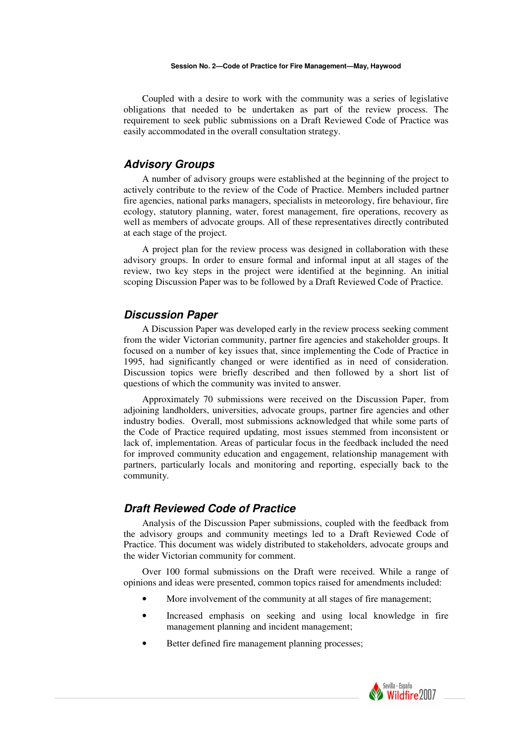#### **Session No. 2—Code of Practice for Fire Management—May, Haywood**

Coupled with a desire to work with the community was a series of legislative obligations that needed to be undertaken as part of the review process. The requirement to seek public submissions on a Draft Reviewed Code of Practice was easily accommodated in the overall consultation strategy.

### **Advisory Groups**

A number of advisory groups were established at the beginning of the project to actively contribute to the review of the Code of Practice. Members included partner fire agencies, national parks managers, specialists in meteorology, fire behaviour, fire ecology, statutory planning, water, forest management, fire operations, recovery as well as members of advocate groups. All of these representatives directly contributed at each stage of the project.

A project plan for the review process was designed in collaboration with these advisory groups. In order to ensure formal and informal input at all stages of the review, two key steps in the project were identified at the beginning. An initial scoping Discussion Paper was to be followed by a Draft Reviewed Code of Practice.

### **Discussion Paper**

A Discussion Paper was developed early in the review process seeking comment from the wider Victorian community, partner fire agencies and stakeholder groups. It focused on a number of key issues that, since implementing the Code of Practice in 1995, had significantly changed or were identified as in need of consideration. Discussion topics were briefly described and then followed by a short list of questions of which the community was invited to answer.

Approximately 70 submissions were received on the Discussion Paper, from adjoining landholders, universities, advocate groups, partner fire agencies and other industry bodies. Overall, most submissions acknowledged that while some parts of the Code of Practice required updating, most issues stemmed from inconsistent or lack of, implementation. Areas of particular focus in the feedback included the need for improved community education and engagement, relationship management with partners, particularly locals and monitoring and reporting, especially back to the community.

### **Draft Reviewed Code of Practice**

Analysis of the Discussion Paper submissions, coupled with the feedback from the advisory groups and community meetings led to a Draft Reviewed Code of Practice. This document was widely distributed to stakeholders, advocate groups and the wider Victorian community for comment.

Over 100 formal submissions on the Draft were received. While a range of opinions and ideas were presented, common topics raised for amendments included:

- More involvement of the community at all stages of fire management;
- Increased emphasis on seeking and using local knowledge in fire management planning and incident management;
- Better defined fire management planning processes;

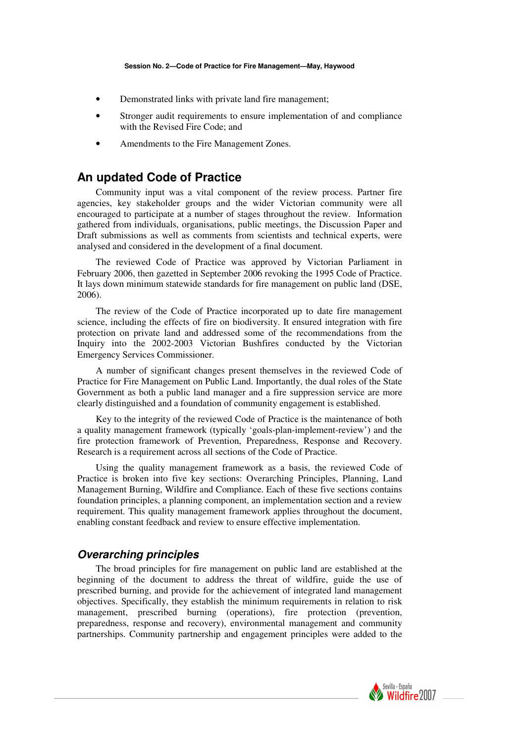- Demonstrated links with private land fire management;
- Stronger audit requirements to ensure implementation of and compliance with the Revised Fire Code; and
- Amendments to the Fire Management Zones.

## **An updated Code of Practice**

Community input was a vital component of the review process. Partner fire agencies, key stakeholder groups and the wider Victorian community were all encouraged to participate at a number of stages throughout the review. Information gathered from individuals, organisations, public meetings, the Discussion Paper and Draft submissions as well as comments from scientists and technical experts, were analysed and considered in the development of a final document.

The reviewed Code of Practice was approved by Victorian Parliament in February 2006, then gazetted in September 2006 revoking the 1995 Code of Practice. It lays down minimum statewide standards for fire management on public land (DSE, 2006).

The review of the Code of Practice incorporated up to date fire management science, including the effects of fire on biodiversity. It ensured integration with fire protection on private land and addressed some of the recommendations from the Inquiry into the 2002-2003 Victorian Bushfires conducted by the Victorian Emergency Services Commissioner.

A number of significant changes present themselves in the reviewed Code of Practice for Fire Management on Public Land. Importantly, the dual roles of the State Government as both a public land manager and a fire suppression service are more clearly distinguished and a foundation of community engagement is established.

Key to the integrity of the reviewed Code of Practice is the maintenance of both a quality management framework (typically 'goals-plan-implement-review') and the fire protection framework of Prevention, Preparedness, Response and Recovery. Research is a requirement across all sections of the Code of Practice.

Using the quality management framework as a basis, the reviewed Code of Practice is broken into five key sections: Overarching Principles, Planning, Land Management Burning, Wildfire and Compliance. Each of these five sections contains foundation principles, a planning component, an implementation section and a review requirement. This quality management framework applies throughout the document, enabling constant feedback and review to ensure effective implementation.

### **Overarching principles**

The broad principles for fire management on public land are established at the beginning of the document to address the threat of wildfire, guide the use of prescribed burning, and provide for the achievement of integrated land management objectives. Specifically, they establish the minimum requirements in relation to risk management, prescribed burning (operations), fire protection (prevention, preparedness, response and recovery), environmental management and community partnerships. Community partnership and engagement principles were added to the

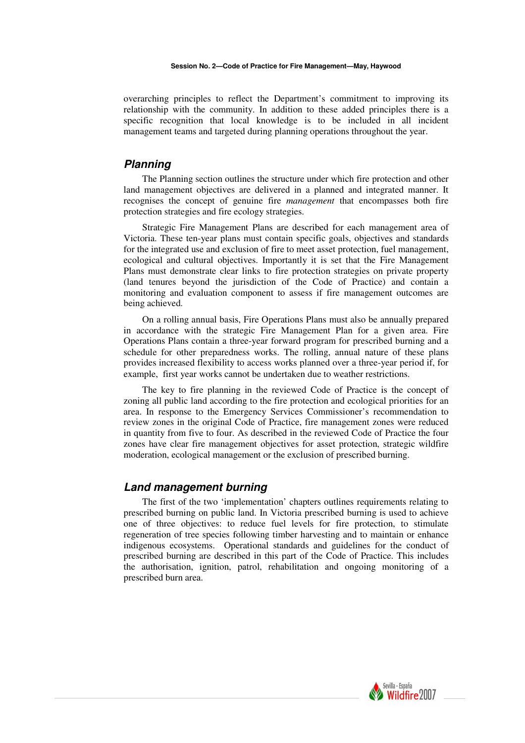#### **Session No. 2—Code of Practice for Fire Management—May, Haywood**

overarching principles to reflect the Department's commitment to improving its relationship with the community. In addition to these added principles there is a specific recognition that local knowledge is to be included in all incident management teams and targeted during planning operations throughout the year.

### **Planning**

The Planning section outlines the structure under which fire protection and other land management objectives are delivered in a planned and integrated manner. It recognises the concept of genuine fire *management* that encompasses both fire protection strategies and fire ecology strategies.

Strategic Fire Management Plans are described for each management area of Victoria. These ten-year plans must contain specific goals, objectives and standards for the integrated use and exclusion of fire to meet asset protection, fuel management, ecological and cultural objectives. Importantly it is set that the Fire Management Plans must demonstrate clear links to fire protection strategies on private property (land tenures beyond the jurisdiction of the Code of Practice) and contain a monitoring and evaluation component to assess if fire management outcomes are being achieved.

On a rolling annual basis, Fire Operations Plans must also be annually prepared in accordance with the strategic Fire Management Plan for a given area. Fire Operations Plans contain a three-year forward program for prescribed burning and a schedule for other preparedness works. The rolling, annual nature of these plans provides increased flexibility to access works planned over a three-year period if, for example, first year works cannot be undertaken due to weather restrictions.

The key to fire planning in the reviewed Code of Practice is the concept of zoning all public land according to the fire protection and ecological priorities for an area. In response to the Emergency Services Commissioner's recommendation to review zones in the original Code of Practice, fire management zones were reduced in quantity from five to four. As described in the reviewed Code of Practice the four zones have clear fire management objectives for asset protection, strategic wildfire moderation, ecological management or the exclusion of prescribed burning.

### **Land management burning**

The first of the two 'implementation' chapters outlines requirements relating to prescribed burning on public land. In Victoria prescribed burning is used to achieve one of three objectives: to reduce fuel levels for fire protection, to stimulate regeneration of tree species following timber harvesting and to maintain or enhance indigenous ecosystems. Operational standards and guidelines for the conduct of prescribed burning are described in this part of the Code of Practice. This includes the authorisation, ignition, patrol, rehabilitation and ongoing monitoring of a prescribed burn area.

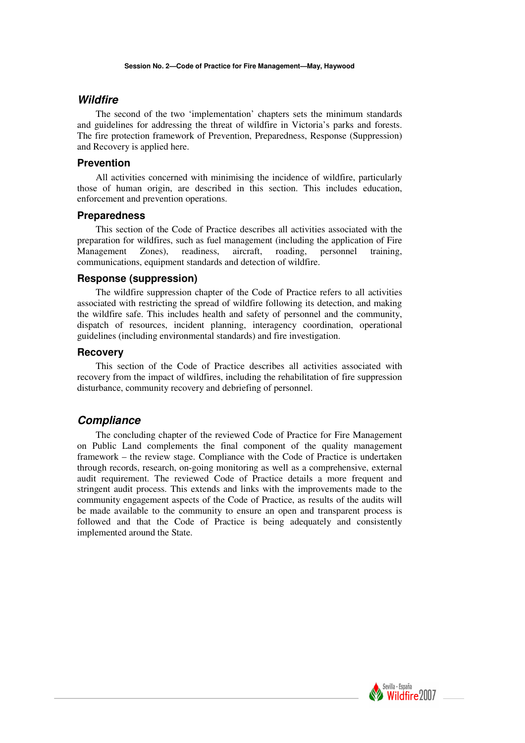#### **Wildfire**

The second of the two 'implementation' chapters sets the minimum standards and guidelines for addressing the threat of wildfire in Victoria's parks and forests. The fire protection framework of Prevention, Preparedness, Response (Suppression) and Recovery is applied here.

#### **Prevention**

All activities concerned with minimising the incidence of wildfire, particularly those of human origin, are described in this section. This includes education, enforcement and prevention operations.

#### **Preparedness**

This section of the Code of Practice describes all activities associated with the preparation for wildfires, such as fuel management (including the application of Fire Management Zones), readiness, aircraft, roading, personnel training, communications, equipment standards and detection of wildfire.

#### **Response (suppression)**

The wildfire suppression chapter of the Code of Practice refers to all activities associated with restricting the spread of wildfire following its detection, and making the wildfire safe. This includes health and safety of personnel and the community, dispatch of resources, incident planning, interagency coordination, operational guidelines (including environmental standards) and fire investigation.

#### **Recovery**

This section of the Code of Practice describes all activities associated with recovery from the impact of wildfires, including the rehabilitation of fire suppression disturbance, community recovery and debriefing of personnel.

### **Compliance**

The concluding chapter of the reviewed Code of Practice for Fire Management on Public Land complements the final component of the quality management framework – the review stage. Compliance with the Code of Practice is undertaken through records, research, on-going monitoring as well as a comprehensive, external audit requirement. The reviewed Code of Practice details a more frequent and stringent audit process. This extends and links with the improvements made to the community engagement aspects of the Code of Practice, as results of the audits will be made available to the community to ensure an open and transparent process is followed and that the Code of Practice is being adequately and consistently implemented around the State.

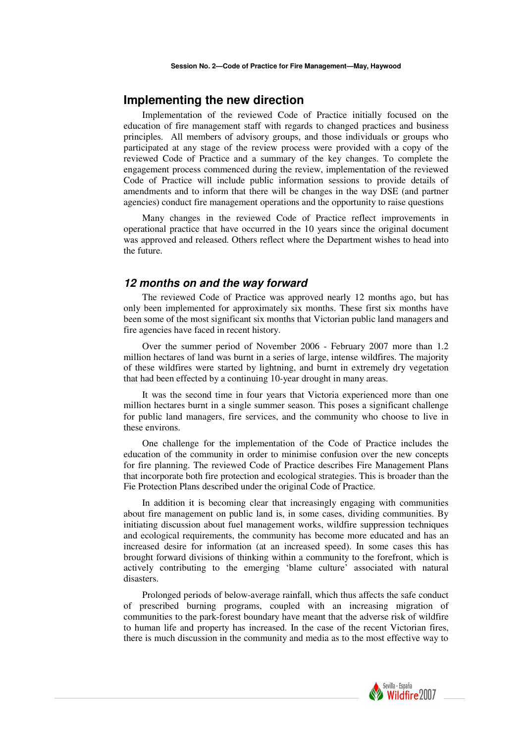### **Implementing the new direction**

Implementation of the reviewed Code of Practice initially focused on the education of fire management staff with regards to changed practices and business principles. All members of advisory groups, and those individuals or groups who participated at any stage of the review process were provided with a copy of the reviewed Code of Practice and a summary of the key changes. To complete the engagement process commenced during the review, implementation of the reviewed Code of Practice will include public information sessions to provide details of amendments and to inform that there will be changes in the way DSE (and partner agencies) conduct fire management operations and the opportunity to raise questions

Many changes in the reviewed Code of Practice reflect improvements in operational practice that have occurred in the 10 years since the original document was approved and released. Others reflect where the Department wishes to head into the future.

#### **12 months on and the way forward**

The reviewed Code of Practice was approved nearly 12 months ago, but has only been implemented for approximately six months. These first six months have been some of the most significant six months that Victorian public land managers and fire agencies have faced in recent history.

Over the summer period of November 2006 - February 2007 more than 1.2 million hectares of land was burnt in a series of large, intense wildfires. The majority of these wildfires were started by lightning, and burnt in extremely dry vegetation that had been effected by a continuing 10-year drought in many areas.

It was the second time in four years that Victoria experienced more than one million hectares burnt in a single summer season. This poses a significant challenge for public land managers, fire services, and the community who choose to live in these environs.

One challenge for the implementation of the Code of Practice includes the education of the community in order to minimise confusion over the new concepts for fire planning. The reviewed Code of Practice describes Fire Management Plans that incorporate both fire protection and ecological strategies. This is broader than the Fie Protection Plans described under the original Code of Practice.

In addition it is becoming clear that increasingly engaging with communities about fire management on public land is, in some cases, dividing communities. By initiating discussion about fuel management works, wildfire suppression techniques and ecological requirements, the community has become more educated and has an increased desire for information (at an increased speed). In some cases this has brought forward divisions of thinking within a community to the forefront, which is actively contributing to the emerging 'blame culture' associated with natural disasters.

Prolonged periods of below-average rainfall, which thus affects the safe conduct of prescribed burning programs, coupled with an increasing migration of communities to the park-forest boundary have meant that the adverse risk of wildfire to human life and property has increased. In the case of the recent Victorian fires, there is much discussion in the community and media as to the most effective way to